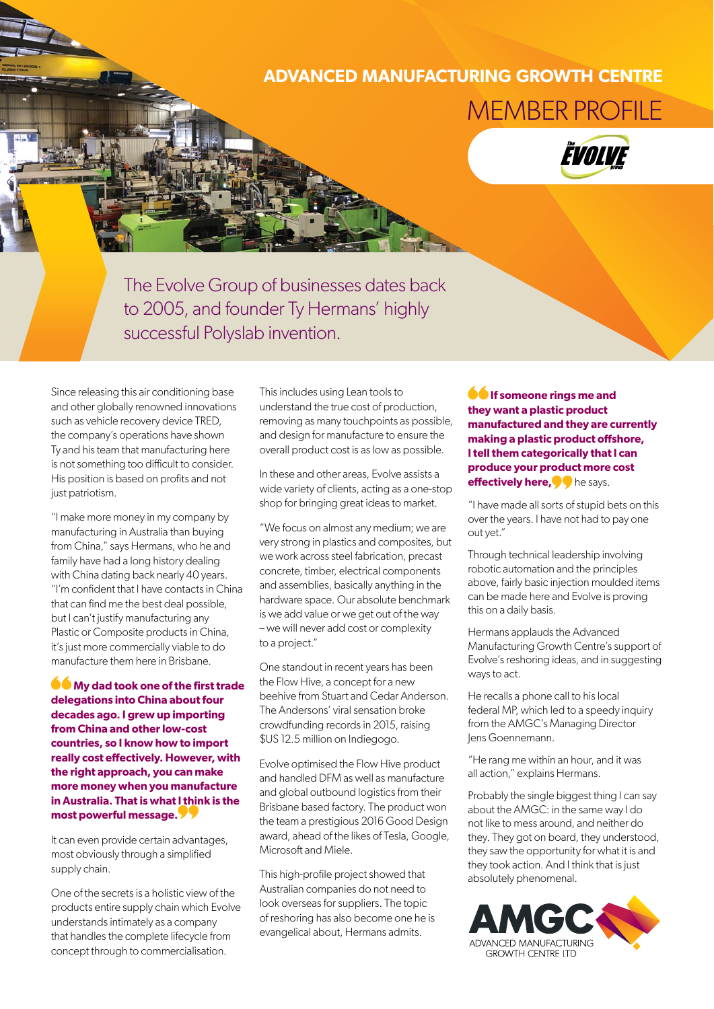## **ADVANCED MANUFACTURING GROWTH CENTRE** MEMBER PROFILE



The Evolve Group of businesses dates back to 2005, and founder Ty Hermans' highly successful Polyslab invention.

Since releasing this air conditioning base and other globally renowned innovations such as vehicle recovery device TRED, the company's operations have shown Ty and his team that manufacturing here is not something too difficult to consider. His position is based on profits and not just patriotism.

"I make more money in my company by manufacturing in Australia than buying from China," says Hermans, who he and family have had a long history dealing with China dating back nearly 40 years. "I'm confident that I have contacts in China that can find me the best deal possible, but I can't justify manufacturing any Plastic or Composite products in China, it's just more commercially viable to do manufacture them here in Brisbane.

**My dad took one of the first trade delegations into China about four decades ago. I grew up importing from China and other low-cost countries, so I know how to import really cost effectively. However, with the right approach, you can make more money when you manufacture in Australia. That is what I think is the most powerful message.**

It can even provide certain advantages, most obviously through a simplified supply chain.

One of the secrets is a holistic view of the products entire supply chain which Evolve understands intimately as a company that handles the complete lifecycle from concept through to commercialisation.

This includes using Lean tools to understand the true cost of production, removing as many touchpoints as possible, and design for manufacture to ensure the overall product cost is as low as possible.

In these and other areas, Evolve assists a wide variety of clients, acting as a one-stop shop for bringing great ideas to market.

"We focus on almost any medium; we are very strong in plastics and composites, but we work across steel fabrication, precast concrete, timber, electrical components and assemblies, basically anything in the hardware space. Our absolute benchmark is we add value or we get out of the way – we will never add cost or complexity to a project."

One standout in recent years has been the Flow Hive, a concept for a new beehive from Stuart and Cedar Anderson. The Andersons' viral sensation broke crowdfunding records in 2015, raising \$US 12.5 million on Indiegogo.

Evolve optimised the Flow Hive product and handled DFM as well as manufacture and global outbound logistics from their Brisbane based factory. The product won the team a prestigious 2016 Good Design award, ahead of the likes of Tesla, Google, Microsoft and Miele.

This high-profile project showed that Australian companies do not need to look overseas for suppliers. The topic of reshoring has also become one he is evangelical about, Hermans admits.

**If someone rings me and they want a plastic product manufactured and they are currently making a plastic product offshore, I tell them categorically that I can produce your product more cost effectively here, of** he says.

"I have made all sorts of stupid bets on this over the years. I have not had to pay one out yet."

Through technical leadership involving robotic automation and the principles above, fairly basic injection moulded items can be made here and Evolve is proving this on a daily basis.

Hermans applauds the Advanced Manufacturing Growth Centre's support of Evolve's reshoring ideas, and in suggesting ways to act.

He recalls a phone call to his local federal MP, which led to a speedy inquiry from the AMGC's Managing Director Jens Goennemann.

"He rang me within an hour, and it was all action," explains Hermans.

Probably the single biggest thing I can say about the AMGC: in the same way I do not like to mess around, and neither do they. They got on board, they understood, they saw the opportunity for what it is and they took action. And I think that is just absolutely phenomenal.